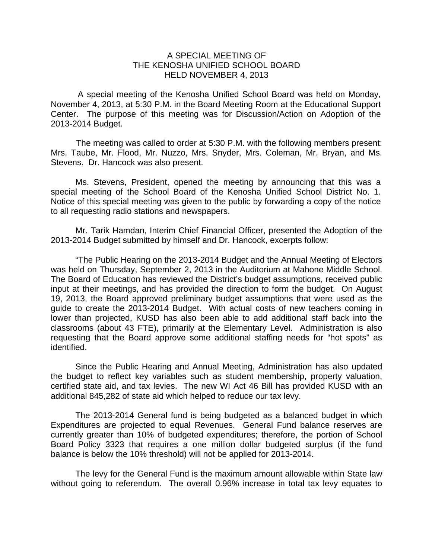## A SPECIAL MEETING OF THE KENOSHA UNIFIED SCHOOL BOARD HELD NOVEMBER 4, 2013

 A special meeting of the Kenosha Unified School Board was held on Monday, November 4, 2013, at 5:30 P.M. in the Board Meeting Room at the Educational Support Center. The purpose of this meeting was for Discussion/Action on Adoption of the 2013-2014 Budget.

The meeting was called to order at 5:30 P.M. with the following members present: Mrs. Taube, Mr. Flood, Mr. Nuzzo, Mrs. Snyder, Mrs. Coleman, Mr. Bryan, and Ms. Stevens. Dr. Hancock was also present.

Ms. Stevens, President, opened the meeting by announcing that this was a special meeting of the School Board of the Kenosha Unified School District No. 1. Notice of this special meeting was given to the public by forwarding a copy of the notice to all requesting radio stations and newspapers.

 Mr. Tarik Hamdan, Interim Chief Financial Officer, presented the Adoption of the 2013-2014 Budget submitted by himself and Dr. Hancock, excerpts follow:

 "The Public Hearing on the 2013-2014 Budget and the Annual Meeting of Electors was held on Thursday, September 2, 2013 in the Auditorium at Mahone Middle School. The Board of Education has reviewed the District's budget assumptions, received public input at their meetings, and has provided the direction to form the budget. On August 19, 2013, the Board approved preliminary budget assumptions that were used as the guide to create the 2013-2014 Budget. With actual costs of new teachers coming in lower than projected, KUSD has also been able to add additional staff back into the classrooms (about 43 FTE), primarily at the Elementary Level. Administration is also requesting that the Board approve some additional staffing needs for "hot spots" as identified.

 Since the Public Hearing and Annual Meeting, Administration has also updated the budget to reflect key variables such as student membership, property valuation, certified state aid, and tax levies. The new WI Act 46 Bill has provided KUSD with an additional 845,282 of state aid which helped to reduce our tax levy.

 The 2013-2014 General fund is being budgeted as a balanced budget in which Expenditures are projected to equal Revenues. General Fund balance reserves are currently greater than 10% of budgeted expenditures; therefore, the portion of School Board Policy 3323 that requires a one million dollar budgeted surplus (if the fund balance is below the 10% threshold) will not be applied for 2013-2014.

 The levy for the General Fund is the maximum amount allowable within State law without going to referendum. The overall 0.96% increase in total tax levy equates to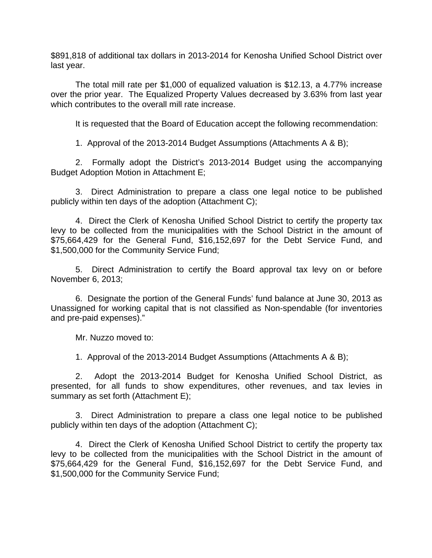\$891,818 of additional tax dollars in 2013-2014 for Kenosha Unified School District over last year.

 The total mill rate per \$1,000 of equalized valuation is \$12.13, a 4.77% increase over the prior year. The Equalized Property Values decreased by 3.63% from last year which contributes to the overall mill rate increase.

It is requested that the Board of Education accept the following recommendation:

1. Approval of the 2013-2014 Budget Assumptions (Attachments A & B);

 2. Formally adopt the District's 2013-2014 Budget using the accompanying Budget Adoption Motion in Attachment E;

 3. Direct Administration to prepare a class one legal notice to be published publicly within ten days of the adoption (Attachment C);

 4. Direct the Clerk of Kenosha Unified School District to certify the property tax levy to be collected from the municipalities with the School District in the amount of \$75,664,429 for the General Fund, \$16,152,697 for the Debt Service Fund, and \$1,500,000 for the Community Service Fund;

 5. Direct Administration to certify the Board approval tax levy on or before November 6, 2013;

 6. Designate the portion of the General Funds' fund balance at June 30, 2013 as Unassigned for working capital that is not classified as Non-spendable (for inventories and pre-paid expenses)."

Mr. Nuzzo moved to:

1. Approval of the 2013-2014 Budget Assumptions (Attachments A & B);

 2. Adopt the 2013-2014 Budget for Kenosha Unified School District, as presented, for all funds to show expenditures, other revenues, and tax levies in summary as set forth (Attachment E);

 3. Direct Administration to prepare a class one legal notice to be published publicly within ten days of the adoption (Attachment C);

 4. Direct the Clerk of Kenosha Unified School District to certify the property tax levy to be collected from the municipalities with the School District in the amount of \$75,664,429 for the General Fund, \$16,152,697 for the Debt Service Fund, and \$1,500,000 for the Community Service Fund;